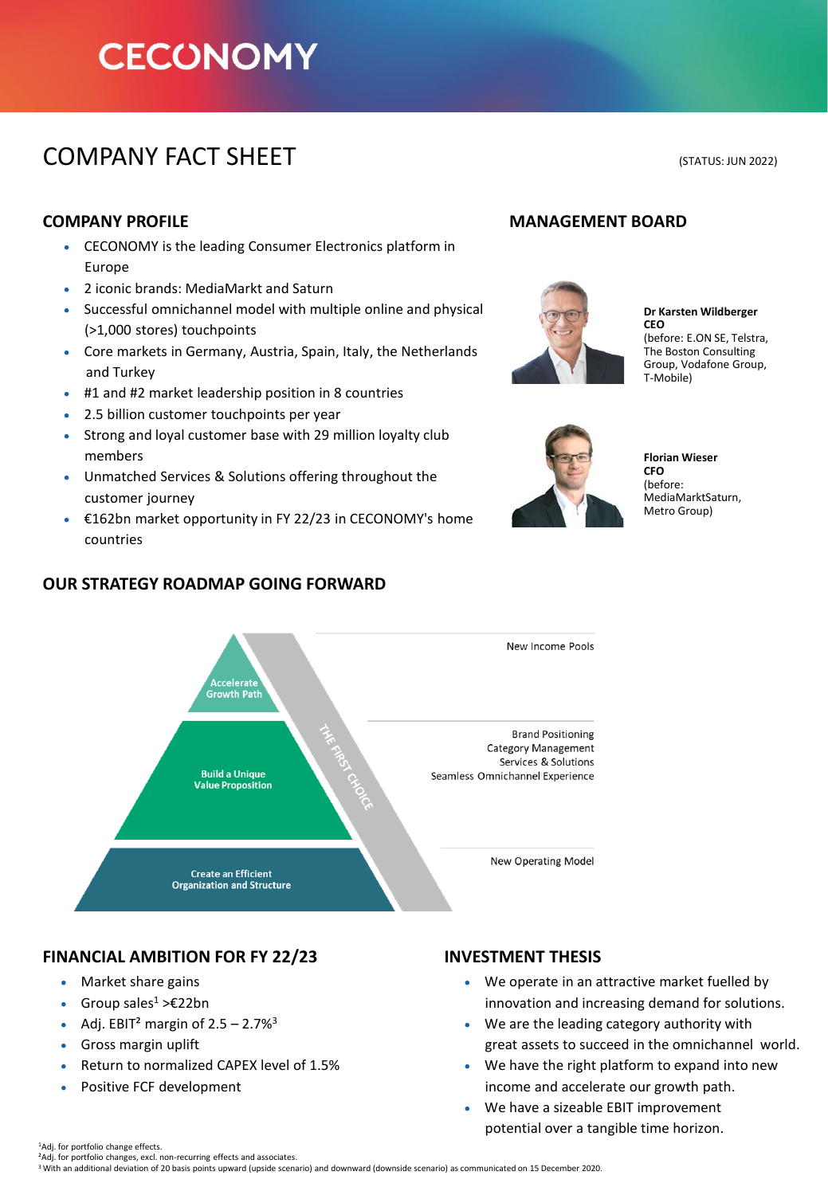# **CECONOMY**

## COMPANY FACT SHEET (STATUS: JUN 2022)

- CECONOMY is the leading Consumer Electronics platform in Europe
- 2 iconic brands: MediaMarkt and Saturn
- Successful omnichannel model with multiple online and physical (>1,000 stores) touchpoints
- Core markets in Germany, Austria, Spain, Italy, the Netherlands and Turkey
- #1 and #2 market leadership position in 8 countries
- 2.5 billion customer touchpoints per year
- Strong and loyal customer base with 29 million loyalty club members
- Unmatched Services & Solutions offering throughout the customer journey
- €162bn market opportunity in FY 22/23 in CECONOMY's home countries



### **OUR STRATEGY ROADMAP GOING FORWARD**

### **FINANCIAL AMBITION FOR FY 22/23 INVESTMENT THESIS**

- Market share gains
- Group sales<sup>1</sup> >€22bn
- Adj. EBIT<sup>2</sup> margin of  $2.5 2.7\%$ <sup>3</sup>
- Gross margin uplift
- Return to normalized CAPEX level of 1.5%
- Positive FCF development

### **COMPANY PROFILE MANAGEMENT BOARD**



**Dr Karsten Wildberger CEO**  (before: E.ON SE, Telstra, The Boston Consulting Group, Vodafone Group, T-Mobile)



**Florian Wieser CFO**  (before: MediaMarktSaturn, Metro Group)

- We operate in an attractive market fuelled by innovation and increasing demand for solutions.
- We are the leading category authority with great assets to succeed in the omnichannel world.
- We have the right platform to expand into new income and accelerate our growth path.
- We have a sizeable EBIT improvement potential over a tangible time horizon.

<sup>1</sup>Adj. for portfolio change effects.

<sup>2</sup>Adj. for portfolio changes, excl. non-recurring effects and associates.

<sup>3</sup>With an additional deviation of 20 basis points upward (upside scenario) and downward (downside scenario) as communicated on 15 December 2020.